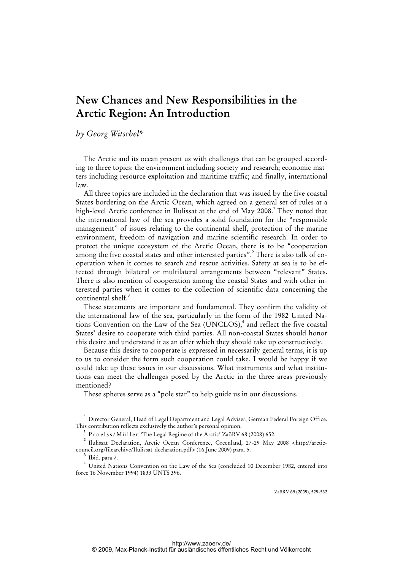## **New Chances and New Responsibilities in the Arctic Region: An Introduction**

*by Georg Witschel\** 

The Arctic and its ocean present us with challenges that can be grouped according to three topics: the environment including society and research; economic matters including resource exploitation and maritime traffic; and finally, international law.

All three topics are included in the declaration that was issued by the five coastal States bordering on the Arctic Ocean, which agreed on a general set of rules at a high-level Arctic conference in Ilulissat at the end of May 2008.<sup>1</sup> They noted that the international law of the sea provides a solid foundation for the "responsible management" of issues relating to the continental shelf, protection of the marine environment, freedom of navigation and marine scientific research. In order to protect the unique ecosystem of the Arctic Ocean, there is to be "cooperation among the five coastal states and other interested parties".<sup>2</sup> There is also talk of cooperation when it comes to search and rescue activities. Safety at sea is to be effected through bilateral or multilateral arrangements between "relevant" States. There is also mention of cooperation among the coastal States and with other interested parties when it comes to the collection of scientific data concerning the continental shelf.<sup>3</sup>

These statements are important and fundamental. They confirm the validity of the international law of the sea, particularly in the form of the 1982 United Nations Convention on the Law of the Sea (UNCLOS),<sup>4</sup> and reflect the five coastal States' desire to cooperate with third parties. All non-coastal States should honor this desire and understand it as an offer which they should take up constructively.

Because this desire to cooperate is expressed in necessarily general terms, it is up to us to consider the form such cooperation could take. I would be happy if we could take up these issues in our discussions. What instruments and what institutions can meet the challenges posed by the Arctic in the three areas previously mentioned?

These spheres serve as a "pole star" to help guide us in our discussions.

ZaöRV 69 (2009), 529-532

 <sup>\*</sup> Director General, Head of Legal Department and Legal Adviser, German Federal Foreign Office. This contribution reflects exclusively the author's personal opinion.

<sup>1</sup> P r o e l s s / M ü l l e r 'The Legal Regime of the Arctic' ZaöRV 68 (2008) 652.

<sup>&</sup>lt;sup>2</sup> [Ilulissat Declaration, Arctic Ocean Conference, Greenland, 27-29 May 2008 <http://arctic](http://arctic-council)council.org/filearchive/Ilulissat-declaration.pdf> (16 June 2009) para. 5.

 $^3$  Ibid. para 7.

<sup>&</sup>lt;sup>4</sup> United Nations Convention on the Law of the Sea (concluded 10 December 1982, entered into force 16 November 1994) 1833 UNTS 396.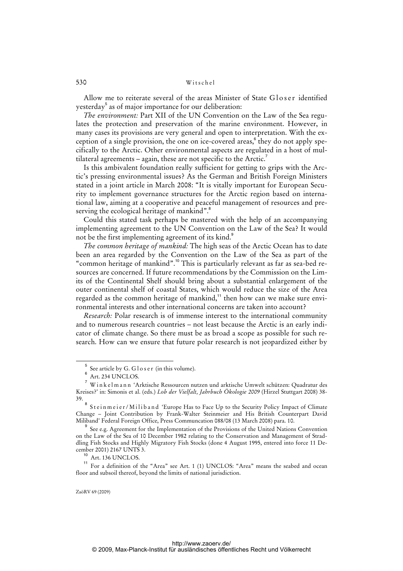## 530 Witschel

Allow me to reiterate several of the areas Minister of State Gloser identified yesterday<sup>5</sup> as of major importance for our deliberation:

*The environment:* Part XII of the UN Convention on the Law of the Sea regulates the protection and preservation of the marine environment. However, in many cases its provisions are very general and open to interpretation. With the exception of a single provision, the one on ice-covered areas,<sup>6</sup> they do not apply specifically to the Arctic. Other environmental aspects are regulated in a host of multilateral agreements – again, these are not specific to the Arctic.<sup>7</sup>

Is this ambivalent foundation really sufficient for getting to grips with the Arctic's pressing environmental issues? As the German and British Foreign Ministers stated in a joint article in March 2008: "It is vitally important for European Security to implement governance structures for the Arctic region based on international law, aiming at a cooperative and peaceful management of resources and preserving the ecological heritage of mankind".<sup>8</sup>

Could this stated task perhaps be mastered with the help of an accompanying implementing agreement to the UN Convention on the Law of the Sea? It would not be the first implementing agreement of its kind.<sup>9</sup>

*The common heritage of mankind:* The high seas of the Arctic Ocean has to date been an area regarded by the Convention on the Law of the Sea as part of the "common heritage of mankind".<sup>10</sup> This is particularly relevant as far as sea-bed resources are concerned. If future recommendations by the Commission on the Limits of the Continental Shelf should bring about a substantial enlargement of the outer continental shelf of coastal States, which would reduce the size of the Area regarded as the common heritage of mankind, $1$ <sup>1</sup> then how can we make sure environmental interests and other international concerns are taken into account?

*Research:* Polar research is of immense interest to the international community and to numerous research countries – not least because the Arctic is an early indicator of climate change. So there must be as broad a scope as possible for such research. How can we ensure that future polar research is not jeopardized either by

 $\overline{\phantom{0}}$ See article by G. Gloser (in this volume).

<sup>6</sup> Art. 234 UNCLOS.

<sup>7</sup> W i n k e l m a n n 'Arktische Ressourcen nutzen und arktische Umwelt schützen: Quadratur des Kreises?' in: Simonis et al. (eds.) *Lob der Vielfalt, Jahrbuch Ökologie 2009* (Hirzel Stuttgart 2008) 38- 39.

<sup>&</sup>lt;sup>8</sup> Steinmeier/Miliband 'Europe Has to Face Up to the Security Policy Impact of Climate Change – Joint Contribution by Frank-Walter Steinmeier and His British Counterpart David Miliband' Federal Foreign Office, Press Communcation 088/08 (13 March 2008) para. 10.

<sup>&</sup>lt;sup>9</sup> See e.g. Agreement for the Implementation of the Provisions of the United Nations Convention on the Law of the Sea of 10 December 1982 relating to the Conservation and Management of Straddling Fish Stocks and Highly Migratory Fish Stocks (done 4 August 1995, entered into force 11 December 2001) 2167 UNTS 3.

<sup>10</sup> Art. 136 UNCLOS.

<sup>&</sup>lt;sup>11</sup> For a definition of the "Area" see Art. 1 (1) UNCLOS: "Area" means the seabed and ocean floor and subsoil thereof, beyond the limits of national jurisdiction.

ZaöRV 69 (2009)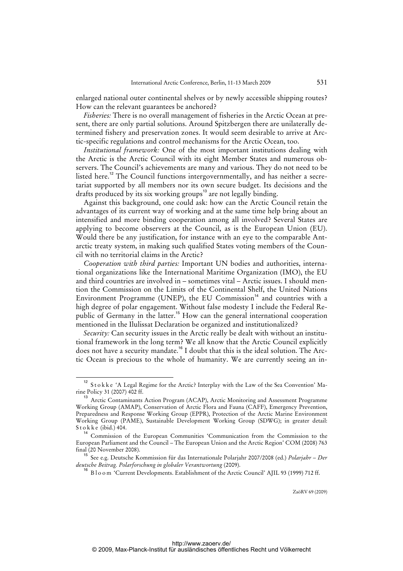enlarged national outer continental shelves or by newly accessible shipping routes? How can the relevant guarantees be anchored?

*Fisheries:* There is no overall management of fisheries in the Arctic Ocean at present, there are only partial solutions. Around Spitzbergen there are unilaterally determined fishery and preservation zones. It would seem desirable to arrive at Arctic-specific regulations and control mechanisms for the Arctic Ocean, too.

*Institutional framework:* One of the most important institutions dealing with the Arctic is the Arctic Council with its eight Member States and numerous observers. The Council's achievements are many and various. They do not need to be listed here.<sup>12</sup> The Council functions intergovernmentally, and has neither a secretariat supported by all members nor its own secure budget. Its decisions and the drafts produced by its six working groups<sup>13</sup> are not legally binding.

Against this background, one could ask: how can the Arctic Council retain the advantages of its current way of working and at the same time help bring about an intensified and more binding cooperation among all involved? Several States are applying to become observers at the Council, as is the European Union (EU). Would there be any justification, for instance with an eye to the comparable Antarctic treaty system, in making such qualified States voting members of the Council with no territorial claims in the Arctic?

*Cooperation with third parties:* Important UN bodies and authorities, international organizations like the International Maritime Organization (IMO), the EU and third countries are involved in – sometimes vital – Arctic issues. I should mention the Commission on the Limits of the Continental Shelf, the United Nations Environment Programme (UNEP), the EU Commission $14$  and countries with a high degree of polar engagement. Without false modesty I include the Federal Republic of Germany in the latter.<sup>15</sup> How can the general international cooperation mentioned in the Ilulissat Declaration be organized and institutionalized?

*Security:* Can security issues in the Arctic really be dealt with without an institutional framework in the long term? We all know that the Arctic Council explicitly does not have a security mandate.<sup>16</sup> I doubt that this is the ideal solution. The Arctic Ocean is precious to the whole of humanity. We are currently seeing an in-

<sup>12</sup> S t o k k e 'A Legal Regime for the Arctic? Interplay with the Law of the Sea Convention' Marine Policy 31 (2007) 402 ff.

<sup>&</sup>lt;sup>13</sup> Arctic Contaminants Action Program (ACAP), Arctic Monitoring and Assessment Programme Working Group (AMAP), Conservation of Arctic Flora and Fauna (CAFF), Emergency Prevention, Preparedness and Response Working Group (EPPR), Protection of the Arctic Marine Environment Working Group (PAME), Sustainable Development Working Group (SDWG); in greater detail:  $St$ o k k e (ibid.) 404.

<sup>&</sup>lt;sup>4</sup> Commission of the European Communities 'Communication from the Commission to the European Parliament and the Council – The European Union and the Arctic Region' COM (2008) 763 final (20 November 2008).

<sup>15</sup> See e.g. Deutsche Kommission für das Internationale Polarjahr 2007/2008 (ed.) *Polarjahr – Der deutsche Beitrag. Polarforschung in globaler Verantwortung* (2009).

<sup>&</sup>lt;sup>16</sup> Bloom 'Current Developments. Establishment of the Arctic Council' AJIL 93 (1999) 712 ff.